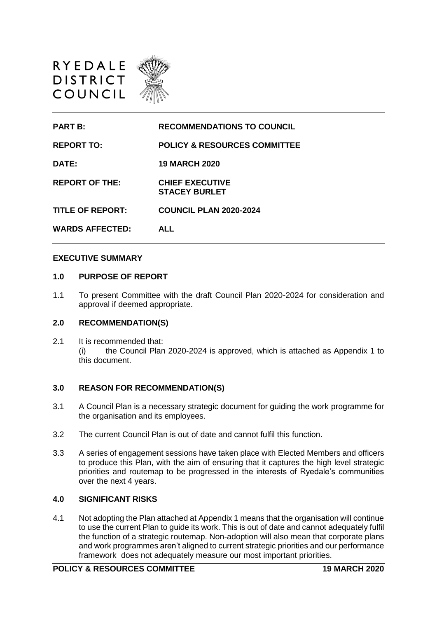

| <b>PART B:</b>          | <b>RECOMMENDATIONS TO COUNCIL</b>              |
|-------------------------|------------------------------------------------|
| <b>REPORT TO:</b>       | <b>POLICY &amp; RESOURCES COMMITTEE</b>        |
| DATE:                   | <b>19 MARCH 2020</b>                           |
| <b>REPORT OF THE:</b>   | <b>CHIEF EXECUTIVE</b><br><b>STACEY BURLET</b> |
| <b>TITLE OF REPORT:</b> | <b>COUNCIL PLAN 2020-2024</b>                  |
| <b>WARDS AFFECTED:</b>  | <b>ALL</b>                                     |
|                         |                                                |

#### **EXECUTIVE SUMMARY**

#### **1.0 PURPOSE OF REPORT**

1.1 To present Committee with the draft Council Plan 2020-2024 for consideration and approval if deemed appropriate.

## **2.0 RECOMMENDATION(S)**

2.1 It is recommended that: (i) the Council Plan 2020-2024 is approved, which is attached as Appendix 1 to this document.

#### **3.0 REASON FOR RECOMMENDATION(S)**

- 3.1 A Council Plan is a necessary strategic document for guiding the work programme for the organisation and its employees.
- 3.2 The current Council Plan is out of date and cannot fulfil this function.
- 3.3 A series of engagement sessions have taken place with Elected Members and officers to produce this Plan, with the aim of ensuring that it captures the high level strategic priorities and routemap to be progressed in the interests of Ryedale's communities over the next 4 years.

### **4.0 SIGNIFICANT RISKS**

4.1 Not adopting the Plan attached at Appendix 1 means that the organisation will continue to use the current Plan to guide its work. This is out of date and cannot adequately fulfil the function of a strategic routemap. Non-adoption will also mean that corporate plans and work programmes aren't aligned to current strategic priorities and our performance framework does not adequately measure our most important priorities.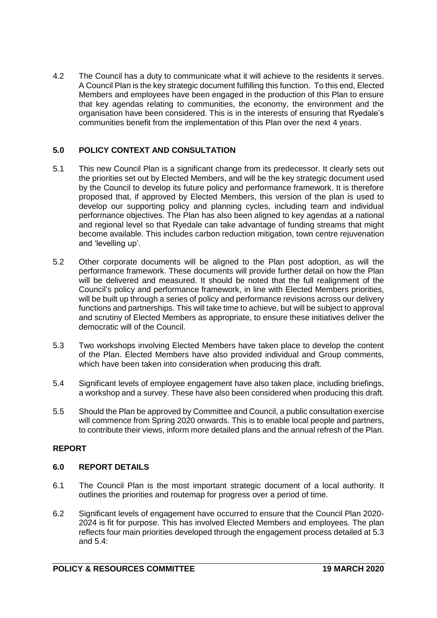4.2 The Council has a duty to communicate what it will achieve to the residents it serves. A Council Plan is the key strategic document fulfilling this function. To this end, Elected Members and employees have been engaged in the production of this Plan to ensure that key agendas relating to communities, the economy, the environment and the organisation have been considered. This is in the interests of ensuring that Ryedale's communities benefit from the implementation of this Plan over the next 4 years.

# **5.0 POLICY CONTEXT AND CONSULTATION**

- 5.1 This new Council Plan is a significant change from its predecessor. It clearly sets out the priorities set out by Elected Members, and will be the key strategic document used by the Council to develop its future policy and performance framework. It is therefore proposed that, if approved by Elected Members, this version of the plan is used to develop our supporting policy and planning cycles, including team and individual performance objectives. The Plan has also been aligned to key agendas at a national and regional level so that Ryedale can take advantage of funding streams that might become available. This includes carbon reduction mitigation, town centre rejuvenation and 'levelling up'.
- 5.2 Other corporate documents will be aligned to the Plan post adoption, as will the performance framework. These documents will provide further detail on how the Plan will be delivered and measured. It should be noted that the full realignment of the Council's policy and performance framework, in line with Elected Members priorities, will be built up through a series of policy and performance revisions across our delivery functions and partnerships. This will take time to achieve, but will be subject to approval and scrutiny of Elected Members as appropriate, to ensure these initiatives deliver the democratic will of the Council.
- 5.3 Two workshops involving Elected Members have taken place to develop the content of the Plan. Elected Members have also provided individual and Group comments, which have been taken into consideration when producing this draft.
- 5.4 Significant levels of employee engagement have also taken place, including briefings, a workshop and a survey. These have also been considered when producing this draft.
- 5.5 Should the Plan be approved by Committee and Council, a public consultation exercise will commence from Spring 2020 onwards. This is to enable local people and partners, to contribute their views, inform more detailed plans and the annual refresh of the Plan.

# **REPORT**

## **6.0 REPORT DETAILS**

- 6.1 The Council Plan is the most important strategic document of a local authority. It outlines the priorities and routemap for progress over a period of time.
- 6.2 Significant levels of engagement have occurred to ensure that the Council Plan 2020- 2024 is fit for purpose. This has involved Elected Members and employees. The plan reflects four main priorities developed through the engagement process detailed at 5.3 and 5.4: